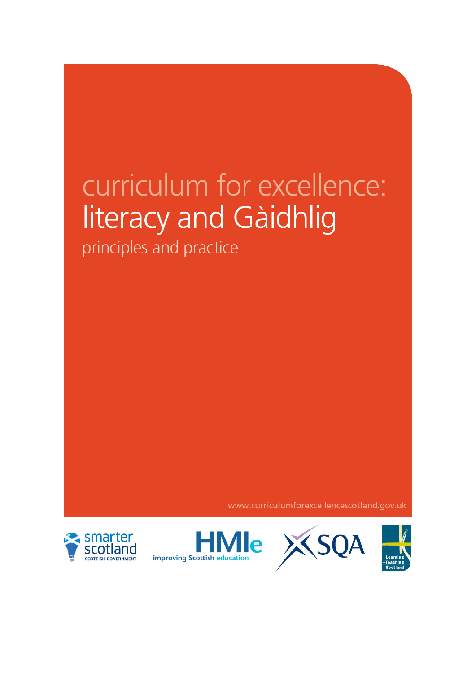# curriculum for excellence: literacy and Gàidhlig

principles and practice

www.curriculumforexcellencescotland.gov.uk





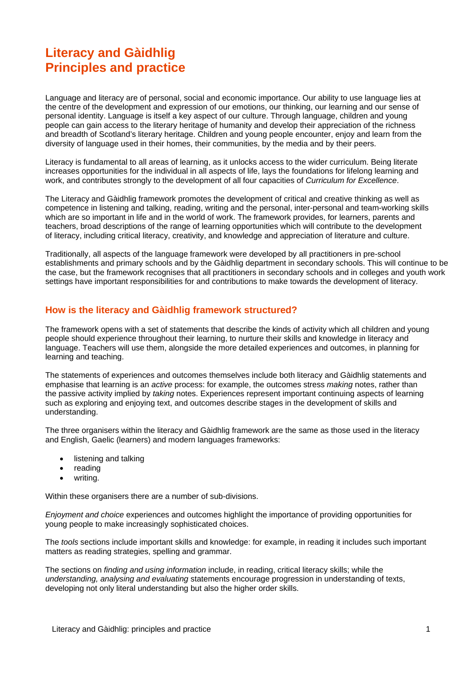# **Literacy and Gàidhlig Principles and practice**

Language and literacy are of personal, social and economic importance. Our ability to use language lies at the centre of the development and expression of our emotions, our thinking, our learning and our sense of personal identity. Language is itself a key aspect of our culture. Through language, children and young people can gain access to the literary heritage of humanity and develop their appreciation of the richness and breadth of Scotland's literary heritage. Children and young people encounter, enjoy and learn from the diversity of language used in their homes, their communities, by the media and by their peers.

Literacy is fundamental to all areas of learning, as it unlocks access to the wider curriculum. Being literate increases opportunities for the individual in all aspects of life, lays the foundations for lifelong learning and work, and contributes strongly to the development of all four capacities of *Curriculum for Excellence*.

The Literacy and Gàidhlig framework promotes the development of critical and creative thinking as well as competence in listening and talking, reading, writing and the personal, inter-personal and team-working skills which are so important in life and in the world of work. The framework provides, for learners, parents and teachers, broad descriptions of the range of learning opportunities which will contribute to the development of literacy, including critical literacy, creativity, and knowledge and appreciation of literature and culture.

Traditionally, all aspects of the language framework were developed by all practitioners in pre-school establishments and primary schools and by the Gàidhlig department in secondary schools. This will continue to be the case, but the framework recognises that all practitioners in secondary schools and in colleges and youth work settings have important responsibilities for and contributions to make towards the development of literacy.

# **How is the literacy and Gàidhlig framework structured?**

The framework opens with a set of statements that describe the kinds of activity which all children and young people should experience throughout their learning, to nurture their skills and knowledge in literacy and language. Teachers will use them, alongside the more detailed experiences and outcomes, in planning for learning and teaching.

The statements of experiences and outcomes themselves include both literacy and Gàidhlig statements and emphasise that learning is an *active* process: for example, the outcomes stress *making* notes, rather than the passive activity implied by *taking* notes. Experiences represent important continuing aspects of learning such as exploring and enjoying text, and outcomes describe stages in the development of skills and understanding.

The three organisers within the literacy and Gàidhlig framework are the same as those used in the literacy and English, Gaelic (learners) and modern languages frameworks:

- listening and talking
- reading
- writing.

Within these organisers there are a number of sub-divisions.

*Enjoyment and choice* experiences and outcomes highlight the importance of providing opportunities for young people to make increasingly sophisticated choices.

The *tools* sections include important skills and knowledge: for example, in reading it includes such important matters as reading strategies, spelling and grammar.

The sections on *finding and using information* include, in reading, critical literacy skills; while the *understanding, analysing and evaluating* statements encourage progression in understanding of texts, developing not only literal understanding but also the higher order skills.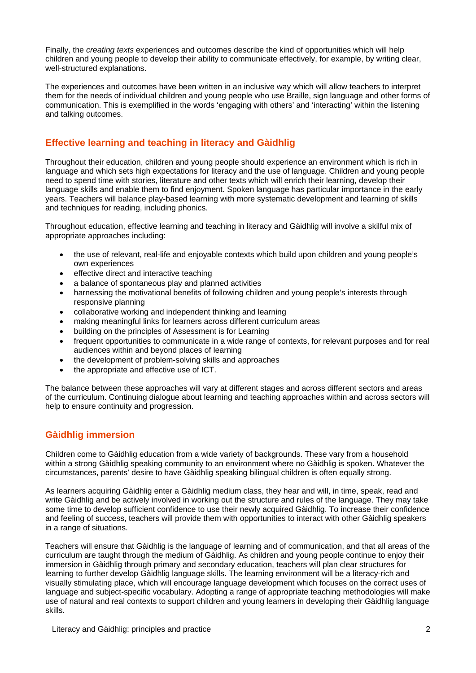Finally, the *creating texts* experiences and outcomes describe the kind of opportunities which will help children and young people to develop their ability to communicate effectively, for example, by writing clear, well-structured explanations.

The experiences and outcomes have been written in an inclusive way which will allow teachers to interpret them for the needs of individual children and young people who use Braille, sign language and other forms of communication. This is exemplified in the words 'engaging with others' and 'interacting' within the listening and talking outcomes.

# **Effective learning and teaching in literacy and Gàidhlig**

Throughout their education, children and young people should experience an environment which is rich in language and which sets high expectations for literacy and the use of language. Children and young people need to spend time with stories, literature and other texts which will enrich their learning, develop their language skills and enable them to find enjoyment. Spoken language has particular importance in the early years. Teachers will balance play-based learning with more systematic development and learning of skills and techniques for reading, including phonics.

Throughout education, effective learning and teaching in literacy and Gàidhlig will involve a skilful mix of appropriate approaches including:

- the use of relevant, real-life and enjoyable contexts which build upon children and young people's own experiences
- effective direct and interactive teaching
- a balance of spontaneous play and planned activities
- harnessing the motivational benefits of following children and young people's interests through responsive planning
- collaborative working and independent thinking and learning
- making meaningful links for learners across different curriculum areas
- building on the principles of Assessment is for Learning
- frequent opportunities to communicate in a wide range of contexts, for relevant purposes and for real audiences within and beyond places of learning
- the development of problem-solving skills and approaches
- the appropriate and effective use of ICT.

The balance between these approaches will vary at different stages and across different sectors and areas of the curriculum. Continuing dialogue about learning and teaching approaches within and across sectors will help to ensure continuity and progression.

# **Gàidhlig immersion**

Children come to Gàidhlig education from a wide variety of backgrounds. These vary from a household within a strong Gàidhlig speaking community to an environment where no Gàidhlig is spoken. Whatever the circumstances, parents' desire to have Gàidhlig speaking bilingual children is often equally strong.

As learners acquiring Gàidhlig enter a Gàidhlig medium class, they hear and will, in time, speak, read and write Gàidhlig and be actively involved in working out the structure and rules of the language. They may take some time to develop sufficient confidence to use their newly acquired Gàidhlig. To increase their confidence and feeling of success, teachers will provide them with opportunities to interact with other Gàidhlig speakers in a range of situations.

Teachers will ensure that Gàidhlig is the language of learning and of communication, and that all areas of the curriculum are taught through the medium of Gàidhlig. As children and young people continue to enjoy their immersion in Gàidhlig through primary and secondary education, teachers will plan clear structures for learning to further develop Gàidhlig language skills. The learning environment will be a literacy-rich and visually stimulating place, which will encourage language development which focuses on the correct uses of language and subject-specific vocabulary. Adopting a range of appropriate teaching methodologies will make use of natural and real contexts to support children and young learners in developing their Gàidhlig language skills.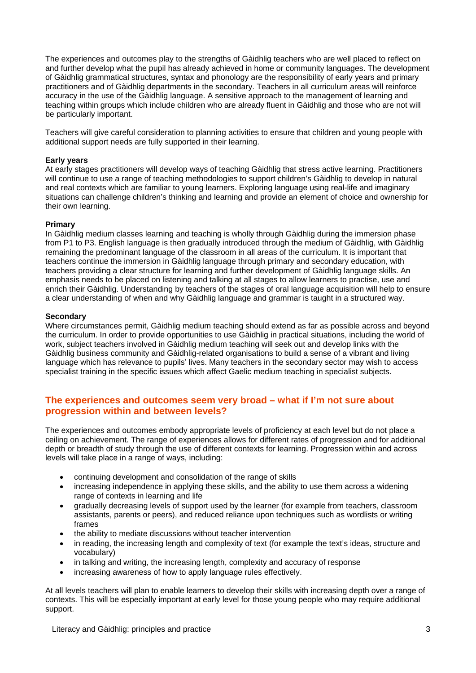The experiences and outcomes play to the strengths of Gàidhlig teachers who are well placed to reflect on and further develop what the pupil has already achieved in home or community languages. The development of Gàidhlig grammatical structures, syntax and phonology are the responsibility of early years and primary practitioners and of Gàidhlig departments in the secondary. Teachers in all curriculum areas will reinforce accuracy in the use of the Gàidhlig language. A sensitive approach to the management of learning and teaching within groups which include children who are already fluent in Gàidhlig and those who are not will be particularly important.

Teachers will give careful consideration to planning activities to ensure that children and young people with additional support needs are fully supported in their learning.

#### **Early years**

At early stages practitioners will develop ways of teaching Gàidhlig that stress active learning. Practitioners will continue to use a range of teaching methodologies to support children's Gàidhlig to develop in natural and real contexts which are familiar to young learners. Exploring language using real-life and imaginary situations can challenge children's thinking and learning and provide an element of choice and ownership for their own learning.

#### **Primary**

In Gàidhlig medium classes learning and teaching is wholly through Gàidhlig during the immersion phase from P1 to P3. English language is then gradually introduced through the medium of Gàidhlig, with Gàidhlig remaining the predominant language of the classroom in all areas of the curriculum. It is important that teachers continue the immersion in Gàidhlig language through primary and secondary education, with teachers providing a clear structure for learning and further development of Gàidhlig language skills. An emphasis needs to be placed on listening and talking at all stages to allow learners to practise, use and enrich their Gàidhlig. Understanding by teachers of the stages of oral language acquisition will help to ensure a clear understanding of when and why Gàidhlig language and grammar is taught in a structured way.

#### **Secondary**

Where circumstances permit, Gàidhlig medium teaching should extend as far as possible across and beyond the curriculum. In order to provide opportunities to use Gàidhlig in practical situations, including the world of work, subject teachers involved in Gàidhlig medium teaching will seek out and develop links with the Gàidhlig business community and Gàidhlig-related organisations to build a sense of a vibrant and living language which has relevance to pupils' lives. Many teachers in the secondary sector may wish to access specialist training in the specific issues which affect Gaelic medium teaching in specialist subjects.

### **The experiences and outcomes seem very broad – what if I'm not sure about progression within and between levels?**

The experiences and outcomes embody appropriate levels of proficiency at each level but do not place a ceiling on achievement. The range of experiences allows for different rates of progression and for additional depth or breadth of study through the use of different contexts for learning. Progression within and across levels will take place in a range of ways, including:

- continuing development and consolidation of the range of skills
- increasing independence in applying these skills, and the ability to use them across a widening range of contexts in learning and life
- gradually decreasing levels of support used by the learner (for example from teachers, classroom assistants, parents or peers), and reduced reliance upon techniques such as wordlists or writing frames
- the ability to mediate discussions without teacher intervention
- in reading, the increasing length and complexity of text (for example the text's ideas, structure and vocabulary)
- in talking and writing, the increasing length, complexity and accuracy of response
- increasing awareness of how to apply language rules effectively.

At all levels teachers will plan to enable learners to develop their skills with increasing depth over a range of contexts. This will be especially important at early level for those young people who may require additional support.

Literacy and Gàidhlig: principles and practice 3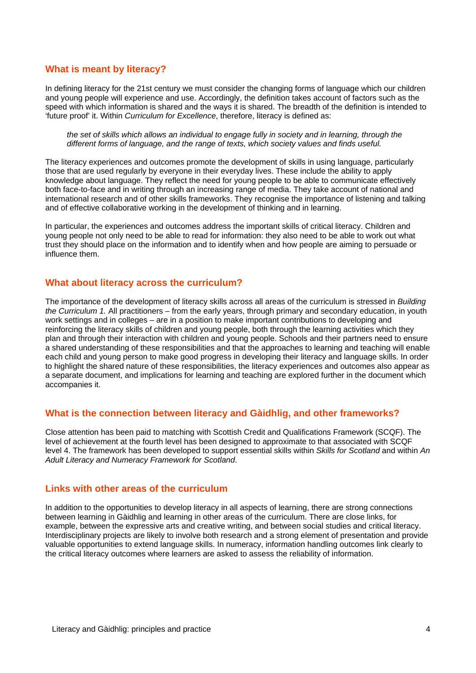#### **What is meant by literacy?**

In defining literacy for the 21st century we must consider the changing forms of language which our children and young people will experience and use. Accordingly, the definition takes account of factors such as the speed with which information is shared and the ways it is shared. The breadth of the definition is intended to 'future proof' it. Within *Curriculum for Excellence*, therefore, literacy is defined as:

*the set of skills which allows an individual to engage fully in society and in learning, through the different forms of language, and the range of texts, which society values and finds useful.* 

The literacy experiences and outcomes promote the development of skills in using language, particularly those that are used regularly by everyone in their everyday lives. These include the ability to apply knowledge about language. They reflect the need for young people to be able to communicate effectively both face-to-face and in writing through an increasing range of media. They take account of national and international research and of other skills frameworks. They recognise the importance of listening and talking and of effective collaborative working in the development of thinking and in learning.

In particular, the experiences and outcomes address the important skills of critical literacy. Children and young people not only need to be able to read for information: they also need to be able to work out what trust they should place on the information and to identify when and how people are aiming to persuade or influence them.

#### **What about literacy across the curriculum?**

The importance of the development of literacy skills across all areas of the curriculum is stressed in *Building the Curriculum 1.* All practitioners – from the early years, through primary and secondary education, in youth work settings and in colleges – are in a position to make important contributions to developing and reinforcing the literacy skills of children and young people, both through the learning activities which they plan and through their interaction with children and young people. Schools and their partners need to ensure a shared understanding of these responsibilities and that the approaches to learning and teaching will enable each child and young person to make good progress in developing their literacy and language skills. In order to highlight the shared nature of these responsibilities, the literacy experiences and outcomes also appear as a separate document, and implications for learning and teaching are explored further in the document which accompanies it.

#### **What is the connection between literacy and Gàidhlig, and other frameworks?**

Close attention has been paid to matching with Scottish Credit and Qualifications Framework (SCQF). The level of achievement at the fourth level has been designed to approximate to that associated with SCQF level 4. The framework has been developed to support essential skills within *Skills for Scotland* and within *An Adult Literacy and Numeracy Framework for Scotland*.

# **Links with other areas of the curriculum**

In addition to the opportunities to develop literacy in all aspects of learning, there are strong connections between learning in Gàidhlig and learning in other areas of the curriculum. There are close links, for example, between the expressive arts and creative writing, and between social studies and critical literacy. Interdisciplinary projects are likely to involve both research and a strong element of presentation and provide valuable opportunities to extend language skills. In numeracy, information handling outcomes link clearly to the critical literacy outcomes where learners are asked to assess the reliability of information.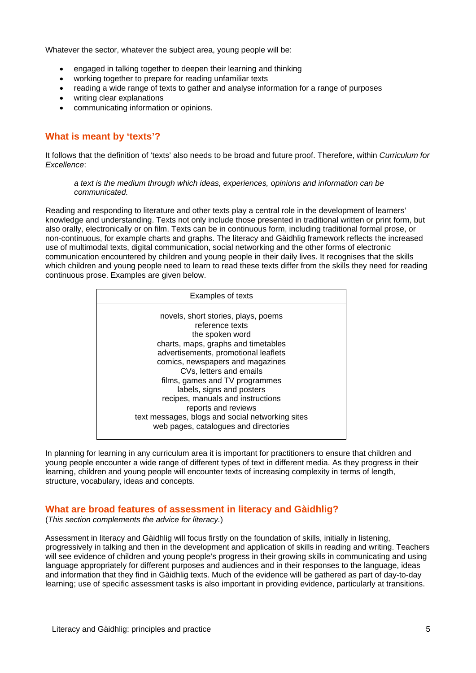Whatever the sector, whatever the subject area, young people will be:

- engaged in talking together to deepen their learning and thinking
- working together to prepare for reading unfamiliar texts
- reading a wide range of texts to gather and analyse information for a range of purposes
- writing clear explanations
- communicating information or opinions.

# **What is meant by 'texts'?**

It follows that the definition of 'texts' also needs to be broad and future proof. Therefore, within *Curriculum for Excellence*:

#### *a text is the medium through which ideas, experiences, opinions and information can be communicated.*

Reading and responding to literature and other texts play a central role in the development of learners' knowledge and understanding. Texts not only include those presented in traditional written or print form, but also orally, electronically or on film. Texts can be in continuous form, including traditional formal prose, or non-continuous, for example charts and graphs. The literacy and Gàidhlig framework reflects the increased use of multimodal texts, digital communication, social networking and the other forms of electronic communication encountered by children and young people in their daily lives. It recognises that the skills which children and young people need to learn to read these texts differ from the skills they need for reading continuous prose. Examples are given below.

| <b>Examples of texts</b>                                       |
|----------------------------------------------------------------|
| novels, short stories, plays, poems                            |
| reference texts                                                |
| the spoken word                                                |
| charts, maps, graphs and timetables                            |
| advertisements, promotional leaflets                           |
| comics, newspapers and magazines                               |
| CVs, letters and emails                                        |
| films, games and TV programmes                                 |
| labels, signs and posters<br>recipes, manuals and instructions |
| reports and reviews                                            |
| text messages, blogs and social networking sites               |
| web pages, catalogues and directories                          |
|                                                                |

In planning for learning in any curriculum area it is important for practitioners to ensure that children and young people encounter a wide range of different types of text in different media. As they progress in their learning, children and young people will encounter texts of increasing complexity in terms of length, structure, vocabulary, ideas and concepts.

### **What are broad features of assessment in literacy and Gàidhlig?**

(*This section complements the advice for literacy.*)

Assessment in literacy and Gàidhlig will focus firstly on the foundation of skills, initially in listening, progressively in talking and then in the development and application of skills in reading and writing. Teachers will see evidence of children and young people's progress in their growing skills in communicating and using language appropriately for different purposes and audiences and in their responses to the language, ideas and information that they find in Gàidhlig texts. Much of the evidence will be gathered as part of day-to-day learning; use of specific assessment tasks is also important in providing evidence, particularly at transitions.